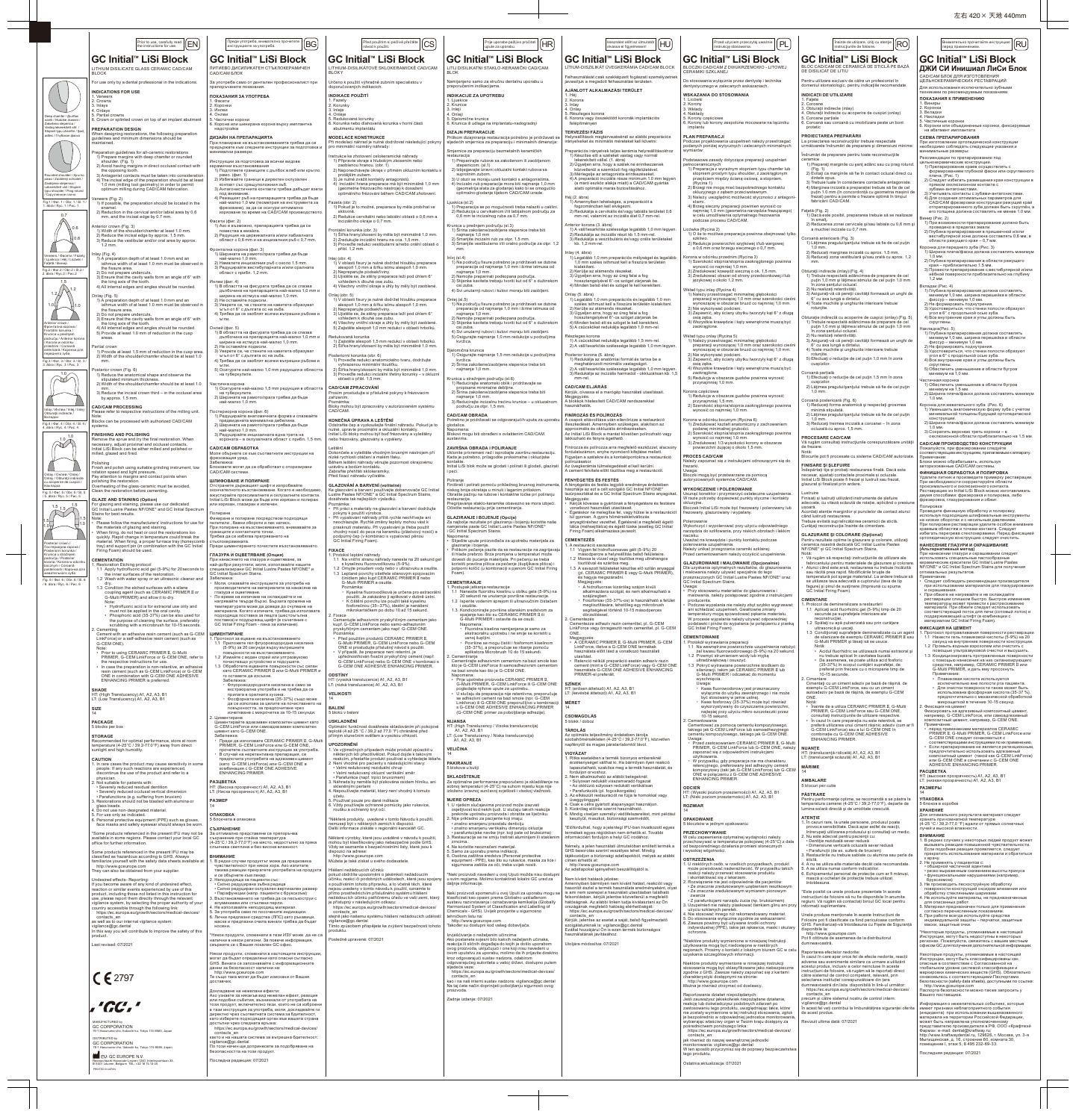左右 420× 天地 440mm

|                                                                                                          | Prior to use, carefully read   EN<br>the instructions for use.                                                                                                                                                       | Преди употреба, внимателно прочетете  <br>инструкциите за употреба.                                                                                                                                  | Před použitím si pečlivě přečtěte<br>CS<br>návod k použití.                                                                                                                                                                     | Prije uporabe pažljivo pročitati   [HR]<br>upute za uporabu.                                                                                                                                                                         | Használat előtt az útmutatót   [HU]<br>olvassa el figyelmesen!                                                                                                                                                           | Przed użyciem przeczytaj uważnie<br> PL<br>instrukcję stosowania.                                                                                                                                                                     | $\sqrt{\frac{\hat{I}^{\text{nainte de utilizare, citiți cu atenție}}{\hat{I}^{\text{naitrucitunille de folosire.}}}}\left[\text{RO}\right]$<br>instrucțiunile de folosire.                                                       | Внимательно прочитайте инструкцию   RU<br>перед применением.                                                                                                                                           |
|----------------------------------------------------------------------------------------------------------|----------------------------------------------------------------------------------------------------------------------------------------------------------------------------------------------------------------------|------------------------------------------------------------------------------------------------------------------------------------------------------------------------------------------------------|---------------------------------------------------------------------------------------------------------------------------------------------------------------------------------------------------------------------------------|--------------------------------------------------------------------------------------------------------------------------------------------------------------------------------------------------------------------------------------|--------------------------------------------------------------------------------------------------------------------------------------------------------------------------------------------------------------------------|---------------------------------------------------------------------------------------------------------------------------------------------------------------------------------------------------------------------------------------|----------------------------------------------------------------------------------------------------------------------------------------------------------------------------------------------------------------------------------|--------------------------------------------------------------------------------------------------------------------------------------------------------------------------------------------------------|
|                                                                                                          | GC Initial™ LiSi Block<br>LITHIUM DISILICATE GLASS CERAMIC CAD/CAM<br><b>BLOCK</b>                                                                                                                                   | GC Initial™ LiSi Block<br>ЛИТИЕВО ДИСИЛИКАТЕН СТЪКЛОКЕРАМИЧЕН<br>САD/САМ БЛОК                                                                                                                        | GC Initial™ LiSi Block<br>LITHIUM-DISILIKÁTOVÉ SKLOKERAMICKÉ CAD/CAM<br><b>BLOKY</b>                                                                                                                                            | GC Initial <sup>™</sup> LiSi Block<br>LITIJ DISILIKATNI STAKLO-KERAMIČKI CAD/CAM                                                                                                                                                     | GC Initial™ LiSi Block<br>LÍTIUM-DISZILIKÁT ÜVEGKERÁMIA CAD/CAM BLOCI                                                                                                                                                    | <b>GC Initial™ LiSi Block</b><br>BLOCZKI CAD/CAM Z DWUKRZEMOWO - LITOWEJ<br>CERAMIKI SZKLANEJ                                                                                                                                         | GC Initial <sup>™</sup> LiSi Block<br>BLOC CAD/CAM DE CERAMICĂ DE STICLĂ PE BAZĂ<br>DE DISILICAT DE LITIU                                                                                                                        | GC Initial <sup>™</sup> LiSi Block<br>ДЖИ СИ Инишиал ЛиСи Блок                                                                                                                                         |
|                                                                                                          | For use only by a dental professional in the indications.                                                                                                                                                            | За употреба само от дентален професионалист при<br>препоръчаните показания.                                                                                                                          | Určeno k použití výhradně zubním specialistou v<br>doporučovaných indikacích.                                                                                                                                                   | Namijenjeno samo za stručnu dentalnu uporabu u<br>preporučenim indikacijama.                                                                                                                                                         | Felhasználását csak szakképzett fogászati személyzetnek<br>javasoljuk a megadott felhasználási területen.                                                                                                                | Do stosowania wyłącznie przez dentystę i technika<br>dentystycznego w zalecanych wskazaniach.                                                                                                                                         | Pentru utilizare exclusiv de către un profesionist în<br>domeniul stomatologic, pentru indicațiile recomandate                                                                                                                   | САР/САМ БЛОК ЛЛЯ ИЗГОТОВЛЕНИЯ<br>ЦЕЛЬНОКЕРАМИЧЕСКИХ РЕСТАВРАЦИЙ<br>Для использования исключительно зубными                                                                                             |
|                                                                                                          | <b>INDICATIONS FOR USE</b><br>1. Veneers<br>2. Crowns                                                                                                                                                                | ПОКАЗАНИЯ ЗА УПОТРЕБА<br>1. Фасети                                                                                                                                                                   | <b>INDIKACE POUŽITÍ</b><br>1. Fazety                                                                                                                                                                                            | <b>INDIKACIJE ZA UPOTREBU</b><br>1. Liuskice<br>2. Krunice                                                                                                                                                                           | AJÁNLOTT ALKALMAZÁSI TERÜLET<br>2. Korona<br>3. Inlay                                                                                                                                                                    | <b>WSKAZANIA DO STOSOWANIA</b><br>1. Licówki<br>2. Korony                                                                                                                                                                             | <b>INDICATII DE UTILIZARE</b><br>1. Fatete<br>2. Coroane                                                                                                                                                                         | техниками по рекомендуемым показаниям.<br>ПОКАЗАНИЯ К ПРИМЕНЕНИЮ<br>1. Виниры                                                                                                                          |
| Deep chamfer / Дълбок<br>жлеб / Hluboké zkosení                                                          | 3. Inlays<br>4. Onlays<br>5. Partial crowns<br>6. Crown or splinted crown on top of an implant abutment                                                                                                              | 2. Коронки<br>3. Инлеи<br>4. Онлеи<br>. Частични корони                                                                                                                                              | 2. Korunky<br>3. Inleje<br>4. Onleje<br>5. Redukované korunky                                                                                                                                                                   | 3. Inleji<br>4. Onleji<br>5. Djelomične krunice                                                                                                                                                                                      | 4. Onlay<br>5. Részleges korona<br>6. Korona vagy összekötött koronák implantációs                                                                                                                                       | 3. Wkłady<br>4. Nakłady<br>5. Korony częściowe                                                                                                                                                                                        | 3. Obturații indirecte (inlay)<br>4. Obturații indirecte cu acoperire de cuspizi (onlay)<br>5. Coroane partiale                                                                                                                  | 2. Коронки<br>3. Вкладки<br>4. Накладки                                                                                                                                                                |
| Zakošena stepenica<br>Vastag lekerekített váll<br>Stonien typu chamfer / San                             | <b>PREPARATION DESIGN</b><br>When designing restorations, the following preparation                                                                                                                                  | 6. Корона или шинирана корона върху имплантна<br>надстройка                                                                                                                                          | 6. Korunka nebo dlahovaná korunka v horní části<br>abutmentu implantátu                                                                                                                                                         | 6. Krunica ili udlaga na implantatu-nadogradnji<br><b>DIZAJN PREPARACIJE</b>                                                                                                                                                         | felépítményen<br>TERVEZÉSI FÁZIS                                                                                                                                                                                         | 6. Korony lub korony zespolone mocowane na łączniku<br>implantu                                                                                                                                                                       | 6. Coroană sau coroană cu imobilizare peste un bont<br>protetic                                                                                                                                                                  | 5. Частичные коронки<br>3. Коронки или объединенные коронки, фиксируемые<br>на абатмент имплантата                                                                                                     |
| adânc / Глубокая фаска                                                                                   | guidelines and minimum dimensions should be<br>maintained.                                                                                                                                                           | ДИЗАЙН НА ПРЕПАРАЦИЯТА<br>При планиране на възстановяванията трябва да се<br>придържате към следните инструкции за подготовка и                                                                      | <b>MODELACE KONSTRUKCE</b><br>Při modelaci náhrad je nutné dodržovat následující pokyny<br>pro minimální rozměry náhrady:                                                                                                       | Prilikom dizajniranja restauracija potrebno je pridržavati se<br>sljedećih smjernica za preparaciju i minimalnih dimenzija:                                                                                                          | Helyreállítások megtervezésénél az alábbi preparációs<br>irányelveket és minimális méreteket kell követni:                                                                                                               | <b>PLAN PREPARACJI</b><br>Podczas projektowania uzupełnień należy przestrzegać<br>podanych poniżej wytycznych i zalecanych minimalnych                                                                                                | PROIECTAREA PREPARĂRII<br>La projectarea reconstructiilor trebuje respectate<br>următoarele îndrumări de preparare și dimensiuni minime:                                                                                         | СХЕМА ПРЕПАРИРОВАНИЯ<br>При изготовлении ортопедической конструкции<br>необходимо соблюдать следующие указания и                                                                                       |
|                                                                                                          | Preparation guidelines for all-ceramic restorations<br>1) Prepare margins with deep chamfer or rounded<br>shoulder. (Fig. 1)                                                                                         | минимални размери:<br>Инструкции за подготовка за всички видове                                                                                                                                      | nstrukce ke zhotovení celokeramické náhrady<br>1) Připravte okraje s hlubokým zkosením nebo                                                                                                                                     | Smjernice za preparaciju bezmetalnih keramičkih<br>restauraciia<br>1) Preparirajte rubove sa zakošenom ili zaobljenom<br>stepenicom. (sl.1)                                                                                          | reparációs irányelvek teljes kerámia helyreállításokhoz<br>1) Készítse elő a széleket vastag vagy normál<br>lekerekített vállal. (1. ábra)<br>2) Ügyeljen arra, hogy a szélek ne érintkezzenek                           | wymiarów:<br>Podstawowe zasady dotyczące preparacji uzupełnień<br>pełnoceramicznych                                                                                                                                                   | Îndrumări de preparare pentru toate reconstrucțiile<br>ceramice<br>1) Preparați marginile cu șanț adânc sau cu prag rotund                                                                                                       | минимальные размеры:<br>Рекомендации по препарированию под<br>цельнокерамические конструкции.                                                                                                          |
| Rounded shoulder / Кръгле<br>рамо / Zaoblený schudek.                                                    | 2) Avoid having margins in direct occlusal contact with<br>the opposing tooth.<br>3) Antagonist contacts must be taken into consideration.<br>4) The incisal edge of the preparation should be at least              | керамични възстановявания<br>1) Подгответе границите с дълбок жлеб или кръгло<br>рамо. (фиг. 1)<br>2) Избягвайте граници в директен оклузален                                                        | zaoblenou hranou. (obr. 1)<br>2) Neponechávejte okraje v přímém okluzním kontaktu s<br>protějším zubem.<br>3) Je nutné zvážit kontakty antagonistů.                                                                             | 2) Izbjegavajte izravni okluzalni kontakt rubova sa<br>suprotnim zubom.<br>3) U obzir se moraju uzeti kontakti s antagonistima                                                                                                       | közvetlenül a szemközti fog rágófelületével.<br>3) Mérlegelje az antagonista érintkezéseket.<br>4) A preparáció incizális része minimum 1.0 mm legyer                                                                    | 1) Preparacja z wyraźnym stopniem typu chamfer lub<br>stopniem prostym typu shoulder, z zaokrąglonym<br>przejściem między ścianą osiową, a stopniem.                                                                                  | 2) Evitați ca marginile să fie în contact ocluzal direct cu<br>dintele opus.                                                                                                                                                     | 1) Препарирование краев осуществлять с<br>формированием глубокой фаски или скругленного<br>плеча. (Рис. 1)<br>2) Следует избегать размещения края конструкции в                                        |
| Zaobliena stepenica /<br>Lekerekített váll / Stopier<br>typu shoulder / Prag rotund<br>Скругленное плечо | 1.0 mm (milling tool geometry) in order to permit<br>optimum milling during CAD/CAM fabrication.                                                                                                                     | контакт със срещуположния зъб.<br>3) Антагонистичните контакти трябва дабъдат взети<br>под внимание                                                                                                  | 4) Incizální hrana preparace má být minimálně 1,0 mm<br>(geometrie frézovacího nástroje) k dosažení<br>optimálního frézování během CAD/CAM zhotovení.                                                                           | 4) Incizalni rub preparacije mora biti najmanje 1,0 mm<br>(geometrija alata za glodanje) kako bi se omogućilo<br>optimalno glodanje tijekom CAD/CAM izrade.                                                                          | (a maró eszköz alakja miatt) a CAD/CAM gyártás<br>alatti optimális marás biztosításához.                                                                                                                                 | (Rycina 1)<br>2) Brzegi nie mogą mieć bezpośredniego kontaktu<br>okluzyjnego z zębem przeciwstawnym.                                                                                                                                  | 3) Trebuie luate în considerare contactele antagoniste<br>4) Marginea incizală a preparației trebuie să fie de cel<br>putin 1.0 mm (în concordonță cu geometria mașinii de                                                       | прямом окклюзионном контакте с<br>зубами-антагонистами<br>3) Учитывать контакты с зубами-антагонистами                                                                                                 |
| Fig.1 / Фиг. 1 / Obr. 1 / Sl. 1<br>1. ábra / Ryc. 1 / Рис. 1                                             | 'eneers (Fig. 2)<br>1) If possible, the preparation should be located in the<br>enamel.                                                                                                                              | 4) Режещият ръб на препарацията трябва да бъде<br>най-малко 1,0 мм (геометрия на инструмента за<br>фрезоване), за да се осигури оптимално                                                            | Fazeta (obr. 2)<br>1) Pokud je to možné, preparace by měla probíhat ve<br>sklovině.                                                                                                                                             | .juskica (sl.2)<br>1) Preparacija se po mogućnosti treba nalaziti u caklini.<br>2) Redukcija u cervikalnom i/ili labijalnom području za                                                                                              | Héj (2. ábra)<br>1) Amennyiben lehetséges, a preparációt a<br>fogzománcban kell elvégezni.<br>2) Redukálja a cervikális és/vagy labiális területet 0,6                                                                   | 3) Należy uwzględnić możliwość styczności z antagoni-<br>stami<br>4) Brzeg sieczny preparacji powinien wynosić co<br>najmniej 1,0 mm (geometria narzędzia frezującego)                                                                | frezat) pentru a permite o frezare optimă în timpul<br>fabricării CAD/CAM.<br>ațetă (Fig. 2)                                                                                                                                     | 4) Для создания оптимальных параметров для<br><b>САD/САМ фрезеровки конструкции режущий край</b><br>отпрепарированного зуба должен быть скруглён, а<br>его толщина должна составлять не менее 1.0 мм   |
| 0.7<br>$_{\Delta}$ 0.6                                                                                   | 2) Reduction in the cervical and/or labial area by 0.6<br>mm, and the incisal edge by 0.7 mm.<br>Anterior crown (Fig. 3)                                                                                             | изрязване по време на CAD/CAM производството<br>Фасети (фиг. 2)<br>1) Ако е възможно, препарацията трябва да се                                                                                      | 2) Redukce cervikální nebo labiální oblasti o 0,6 mm a<br>incizálního okraje o 0,7 mm.                                                                                                                                          | 0,6 mm te incizalnog ruba za 0,7 mm.<br>Krunica u prednjem području (sl.3)                                                                                                                                                           | mm-rel, valamint az incizális élet 0.7 mm-rel.<br>Anterior korona (3. ábra)                                                                                                                                              | w celu umożliwienia optymalnego frezowania<br>podczas procesu CAD/CAM.                                                                                                                                                                | 1) Dacă este posibil, prepararea trebuie să se realizeze<br>în smalt.<br>2) Reducerea zonei cervicale și/sau labiale cu 0,6 mm ș                                                                                                 | Винир (Рис. 2)<br>1) При возможности препарирование должно быть<br>проведено в пределах эмали.                                                                                                         |
|                                                                                                          | 1) Width of the shoulder/chamfer at least 1.0 mm.<br>2) Reduce the incisal edge by approx. 1.5 mm.<br>3) Reduce the vestibular and/or oral area by approx.<br>$1.2$ mm.                                              | помества в емайла.<br>2) Редукция на цервикалната и/или лабиалната<br>област с 0,6 mm и на инцизалния ръб с 0,7 mm                                                                                   | rontální korunka (obr. 3)<br>1) Šířka hrany/zkosení by měla být minimálně 1,0 mm.<br>2) Zredukujte incizální hranu na cca. 1,5 mm.<br>3) Proveďte redukci vestibulární a/nebo orální oblasti o                                  | 1) Širina zakošene/zaobljene stepenice treba biti<br>najmanje 1,0 mm<br>2) Smanjite incizalni rub za otpr. 1,5 mm.<br>3) Smanjite vestibularno i/ili oralno područje za otpr. 1,2                                                    | 1) A váll/lesarkítás szélessége legalább 1,0 mm legyen.<br>2) Redukálja az incizális részt kb 1.5 mm-rel.<br>3) Redukálja a vesztibuláris és/vagy orális területeket<br>kb. 1,2 mm-rel.                                  | icówka (Rycina 2)<br>1) O ile to możliwe preparacja powinna obejmować tylko<br>szkliwo.<br>2) Redukcja powierzchni szyjkowej i/lub wargowej                                                                                           | a muchiei incizale cu 0,7 mm.<br>Coroană anterioară (Fig. 3)<br>1) Lățimea pragului/șanțului trebuie să fie de cel puțin                                                                                                         | 2) Глубина препарирования в пришеечной и/или<br>вестибулярной зоне должна составлять 0,6 мм, в<br>области режущего края - 0,7 мм.                                                                      |
| /eneers / Фасети / Fazety<br>Ljuskica / Héj / Licówki /                                                  | lay (Fig. 4)<br>1) A preparation depth of at least 1.0 mm and an                                                                                                                                                     | Фронтална корона (фиг. 3)<br>1) Ширината на рамото/прага трябва да бъде<br>най-малко 1,0 mm.                                                                                                         | přibl. 1,2 mm.<br>Inlej (obr. 4)                                                                                                                                                                                                | nlej (sl.4)                                                                                                                                                                                                                          | Inlay (4. ábra)<br>1) Legalább 1,0 mm preparációs mélységet és legalább                                                                                                                                                  | o 0,6 mm oraz brzegu siecznego o 0,7 mm.<br>Korona w odcinku przednim (Rycina 3)                                                                                                                                                      | $1.0 \text{ mm}$<br>2) Reduceti marginea incizală cu aprox. 1.5 mm.<br>3) Reduceți zona vestibulară și/sau orală cu aprox. 1,2                                                                                                   | Коронка для переднего зуба (Рис. 3)<br>1) Ширина плеча/фаски должна составлять минимум<br>$1.0 \text{ mm}$ .<br>2) Глубина препарирования в области режущего                                           |
| Fatetă / Винир<br>Fig.2 / Фиг.2 / Obr.2 / Sl.2.<br>2. ábra / Ryc.2 / Рис.2                               | isthmus width of at least 1.0 mm must be observed in<br>the fissure area.<br>2) Do not prepare undercuts.                                                                                                            | 2) Намалете инцизалния ръб с около 1.5 mm.<br>3) Редуцирайте вестибуларната и/или оралната<br>област с прибл. 1,2 mm.                                                                                | 1) V oblasti fisury je nutné dodržet hloubku preparace<br>alespoň 1,0 mm a šířku istmu alespoň 1,0 mm.<br>2) Nepreparujte podsekřiviny.<br>3) Ujistěte se, že stěny preparace leží pod úhlem 6°                                 | 1) Na području fisure potrebno je pridržavati se dubine<br>preparacije od najmanje 1,0 mm i širine istmusa od<br>najmanje 1,0 mm.<br>2) Nemojte preparirati podkopana područja.                                                      | 1,0 mm széles isthmust kell a fisszúra területén<br>kialakítani<br>2) Kerülje az alámenős részeket.<br>3) Ügyeljen arra, hogy az üreg falai a fog                                                                        | 1) Szerokość stopnia/stopnia zaokrąglonego powinna<br>wynosić co najmniej 1,0 mm.<br>2) Zredukować krawędź sieczną o ok. 1,5 mm.<br>3) Zredukować obszar od strony przedsionkowej i/lub                                               | mm.<br>Obturații indirecte (inlay) (Fig. 4)<br>1) Trebuie respectată adâncimea de preparare de cel                                                                                                                               | края - приблизительно 1.5 мм.<br>3) Провести препарирование с вестибулярной и/или<br>нёбной поверхности приблизительно на глубину                                                                      |
| $\Lambda$ 1.2                                                                                            | 3) Ensure that the cavity walls form an angle of 6° with<br>the long axis of the tooth.<br>4) All internal edges and angles should be rounded.                                                                       | Инлеи (фиг. 4)<br>1) В областта на фисурата трябва да се спазва<br>дълбочина на препарацията най-малко 1,0 mm и                                                                                      | vzhledem k dlouhé ose zubu.<br>4) Všechny vnitřní okraje a úhly by měly být zaoblené.                                                                                                                                           | 3) Stijenke kaviteta trebaju tvoriti kut od 6° s dužinskom<br>osi zuba.<br>4) Svi unutarnji rubovi i kutovi moraju biti zaobljeni                                                                                                    | hossztengelyével 6°-os szöget zárjanak be.<br>4) Minden belső élet és szöget le kell kerekíteni.                                                                                                                         | językowej o około 1,2 mm.<br>/Wkład typu inlay (Rycina 4)                                                                                                                                                                             | puțin 1,0 mm și lățimea istmului de cel puțin 1,0 mm<br>în zona santului ocluzal.<br>2) Nu realizati retentivități.                                                                                                              | 1,2 MM.<br>Вкладки (Рис. 4)<br>1) Глубина препарирования должна составлять                                                                                                                             |
| 1.2/                                                                                                     | Onlay (Fig. 5)<br>1) A preparation depth of at least 1.0 mm and an<br>isthmus width of at least 1.0 mm must be observed in                                                                                           | ширина на истмуса най-малко 1,0 mm.<br>2) Не оставяйте подмоли<br>3) Уверете се, че стените на кавитета образуват<br>ъгъл от 6° с дългата ос на зъба.                                                | Onlei (obr. 5)<br>1) V oblasti fisury je nutné dodržet hloubku preparace<br>alespoň 1,0 mm a šířku istmu alespoň 1,0 mm.<br>2) Nepreparujte podsekřiviny                                                                        | Onlej (sl.5)<br>1) Na području fisure potrebno je pridržavati se dubine<br>preparacije od najmanje 1,0 mm i širine istmusa od                                                                                                        | Onlay (5. ábra)<br>1) Legalább 1,0 mm preparációs és legalább 1,0 mm<br>széles isthmust kell a fisszúra területén kialakítani.<br>2) Kerülie az alámenős részeket                                                        | 1) Należy przestrzegać minimalnej głębokości<br>preparacji wynoszącej 1,0 mm oraz szerokości cieśni<br>wynoszącej w obszarze bruzd co najmniej 1,0 mm.<br>2) Nie wykonywać podcieni.                                                  | 3) Asigurați-vă că pereții cavității formează un unghi de<br>6° cu axa lungă a dintelui.<br>4) Toate muchiile și unghiurile interioare trebuie<br>rotunjite.                                                                     | минимум 1,0 мм, ширина перешейка в области<br>фиссур - минимум 1,0 мм.<br>2) Не формировать поднутрения.<br>3) Удостовериться, что стенки полости образуют                                             |
| Interior crown /                                                                                         | the fissure area.<br>2) Do not prepare undercuts.<br>3) Ensure that the cavity walls form an angle of 6° with<br>the long axis of the tooth.                                                                         | 4) Трябва да се заоблят всички вътрешни ръбове и<br>ъгли.                                                                                                                                            | 3) Ujistěte se, že stěny preparace leží pod úhlem 6°<br>vzhledem k dlouhé ose zubu<br>4) Všechny vnitřní okraje a úhly by měly být zaoblené.                                                                                    | najmanje 1,0 mm.<br>2) Nemojte preparirati podkopana područja.<br>3) Stijenke kaviteta trebaju tvoriti kut od 6° s dužinskom                                                                                                         | 3) Ügyeljen arra, hogy az üreg falai a fog<br>hossztengelyével 6°-os szöget zárjanak be<br>4) Minden belső élt és szöget le kell kerekíteni.                                                                             | 3) Zapewnić, aby ściany ubytku tworzyły kąt 6° z długą<br>osią zęba.<br>4) Wszystkie krawędzie i kąty wewnętrzne muszą być                                                                                                            | Obturație indirectă cu acoperire de cuspizi (onlay) (Fig. 5)<br>1) Trebuie respectată adâncimea de preparare de cel                                                                                                              | угол в 6° с продольной осью зуба.<br>4) Все внутренние края и углы должны быть<br>скруглены.                                                                                                           |
| Фронтална корона /<br>rontální korunka /<br>Krunica u prednjem<br>području / Anterior korona             | 4) All internal edges and angles should be rounded.<br>5) Provide at least 1.0 mm of reduction in the cusp<br>areas.                                                                                                 | Онлей (фиг. 5)<br>1) В областта на фисурата трябва да се спазва<br>дълбочина на препарацията най-малко 1,0 mm и                                                                                      | 5) Zajistěte alespoň 1,0 mm redukci v oblasti hrbolků.<br>Redukovaná korunka<br>1) Zajistěte alespoň 1,5 mm redukci v oblasti hrbolků.                                                                                          | osi zuba.<br>4) Svi unutarnji rubovi i kutovi moraju biti zaobljeni.<br>5) Osigurajte najmanje 1,0 mm redukcije u područjima<br>kvržica.                                                                                             | 5) A csücsköket redukálja legalább 1,0 mm-rel.<br>Részleges korona<br>1) A csücsköket redukálja legalább 1,5 mm-rel.                                                                                                     | zaokrąglone.<br>Wkład typu onlay (Rycina 5)<br>1) Należy przestrzegać minimalnej głębokości                                                                                                                                           | puțin 1,0 mm și lățimea istmului de cel puțin 1,0 mm<br>în zona santului ocluzal.<br>2) Nu realizați retentivități.<br>3) Asigurați-vă că pereții cavității formează un unghi de                                                 | Накладка(Рис. 5)<br>1) Глубина препарирования должна составлять<br>минимум 1,0 мм, ширина перешейка в области                                                                                          |
| / Korona w odcinku<br>przednim / Coroană<br>anterioară / Коронка для<br>переднего зуба                   | Partial crown<br>1) Provide at least 1.5 mm of reduction in the cusp area.<br>2) Width of the shoulder/chamfer should be at least 1.0                                                                                | ширина на истмуса най-малко 1,0 mm.<br>2) Не оставяйте подмоли<br>3) Уверете се, че стените на кавитета образуват<br>ъгъл от 6° с дългата ос на зъба.                                                | 2) Šířka hrany/zkosení by měla být minimálně 1,0 mm.<br>Posteriorní korunka (obr. 6)                                                                                                                                            | )ielomična krunica<br>1) Osigurajte najmanje 1,5 mm redukcije u područjima                                                                                                                                                           | 2) A váll/lesarkítás szélessége legalább 1,0 mm legyen.<br>Posterior korona (6. ábra)                                                                                                                                    | preparacji wynoszącej 1,0 mm oraz szerokości cieśni<br>wynoszącej w obszarze bruzd co najmniej 1,0 mm.<br>2) Nie wykonywać podcieni.                                                                                                  | 6° cu axa lungă a dintelui.<br>4) Toate muchiile și unghiurile interioare trebuie<br>rotuniite                                                                                                                                   | фиссур - минимум 1,0 мм.<br>2) Не формировать поднутрения.<br>3) Удостовериться, что стенки полости образуют<br>угол в 6° с продольной осью зуба.                                                      |
| Fig.3 / Фиг. 3 / Obr. 3 / Sl. 3<br>3. ábra / Ryc. 3 / Рис. 3                                             | Posterior crown (Fig. 6)                                                                                                                                                                                             | 4) Трябва да се заоблят всички вътрешни ръбове и<br>5) Осигурете най-малко 1,0 mm редукция в областта<br>на туберкулите.                                                                             | 1) Proveďte redukci anatomického tvaru, dodržujte<br>vyhrazenou minimální tloušťku.<br>2) Sířka hrany/zkosení by měla být minimálně 1,0 mm.<br>3) Proveďte redukci incizální třetiny korunky – v okluzní                        | kvržica.<br>2) Širina zakošene/zaobljene stepenice treba biti<br>najmanje 1,0 mm.                                                                                                                                                    | 1) Redukálja az anatómiai formát és tartsa be a<br>meghatározott minimális vastagságot.<br>2) A váll/lesarkítás szélessége legalább 1,0 mm legyen.<br>3) Redukálja az incizális harmadot - okkluzálisan kb. 1,5          | 3) Zapewnić, aby ściany ubytku tworzyły kąt 6° z długą<br>osia zeba.<br>4) Wszystkie krawędzie i kąty wewnętrzne muszą być<br>zaokrąglone.                                                                                            | 5) Efectuați o reducție de cel puțin 1,0 mm în zona<br>cuspizilor<br>Coroană parțială                                                                                                                                            | 4) Все внутренние края и углы должны быть<br>скруглены.<br>5) Обеспечить уменьшение в области бугров<br>минимум на 1,0 мм.                                                                             |
| W                                                                                                        | 1) Reduce the anatomical shape and observe the<br>stipulated minimum thickness.<br>2) Width of the shoulder/chamfer should be at least 1.0                                                                           | - настична корона<br>1) Осигурете най-малко 1,5 mm редукция в областта                                                                                                                               | oblasti o přibl. 1.5 mm.<br><b>CAD/CAM ZPRACOVÁNÍ</b>                                                                                                                                                                           | Krunica u stražnjem području (sl.6)<br>1) Reducirajte anatomski oblik i pridržavajte se<br>propisane minimalne debljine.                                                                                                             | mm-rel.<br><b>CAD/CAM ELJÁRÁS</b>                                                                                                                                                                                        | 5) Redukcja w obszarze guzków powinna wynosić<br>przynajmniej 1,0 mm.                                                                                                                                                                 | 1) Efectuați o reducție de cel puțin 1,5 mm în zona<br>cuspizilor<br>2) Lățimea pragului/șanțului trebuie să fie de cel puțin                                                                                                    | Частичная коронка<br>1) Обеспечить уменьшение в области бугров<br>минимум на 1.5 мм.                                                                                                                   |
|                                                                                                          | 3) Reduce the incisal crown third - in the occlusal area<br>by approx. 1.5 mm.<br><b>CAD/CAM PROCESSING</b>                                                                                                          | на туберкулите.<br>2) Ширината на рамото/прага трябва да бъде<br>най-малко 1.0 mm.                                                                                                                   | Prosím prostudujte si příslušné pokyny k frézovacím<br>zařízením<br>Poznámka:<br>Bloky mohou být zpracovány v autorizovaném systému                                                                                             | 2) Širina zakošene/zaobljene stepenice treba biti<br>najmanje 1,0 mm.<br>3) Reducirajte incizalnu trećinu krunice - u okluzalnom<br>području za otpr. 1,5 mm.                                                                        | Kérjük, olvassa el a marógép használati utasításait<br>Megjegyzés:<br>A blokkok hitelesített CAD/CAM rendszerekkel<br>használhatók.                                                                                      | Korona cześciowa<br>1) Redukcja w obszarze guzków powinna wynosić<br>przynajmniej 1,5 mm.<br>2) Szerokość stopnia/stopnia zaokrąglonego powinna                                                                                       | $1,0$ mm.<br>Coroană posterioară (Fig. 6)<br>1) Reduceți forma anatomică și respectați grosimea                                                                                                                                  | 2) Ширина плеча/фаски должна составлять минимум<br>1.0 MM.<br>Коронка для жевательного зуба (Рис. 6)                                                                                                   |
| Inlav / Инлеи / Inlei / Inlei<br>Obturații indirecte<br>I Вкладки                                        | Please refer to respective instructions of the milling unit.<br>Note<br>Blocks can be processed with authorized CAD/CAM                                                                                              | Тостериорна корона (фиг. 6)<br>1) Редуцирайте анатомичната форма и спазвайте<br>предвидената минимална дебелина.                                                                                     | KONEČNÁ ÚPRAVA A LEŠTĚNÍ                                                                                                                                                                                                        | <b>CAD/CAM OBRADA</b><br>Potrebno je pridržavati se odgovarajućih uputa za uporabu                                                                                                                                                   | <b>FINÍROZÁS ÉS POLÍROZÁS</b><br>A csapok eltávolítása után ellenőrizze a restauráció                                                                                                                                    | wynosić co najmniej 1,0 mm<br>Korona w odcinku bocznym (Rycina 6)                                                                                                                                                                     | minimă stipulată.<br>2) Lățimea pragului/șanțului trebuie să fie de cel puțin<br>$1.0$ mm.                                                                                                                                       | 1) Уменьшить анатомическую форму зуба с учетом<br>минимальной толщины будущей ортопедической<br>конструкции<br>2) Ширина плеча/фаски должна составлять минимум                                         |
| Fig.4 / Фиг. 4 / Obr. 4 / Sl. 4<br>4. ábra / Ryc. 4 / Рис. 4                                             | systems<br><b>FINISHING AND POLISHING</b><br>Remove the sprue and try the final restoration. When                                                                                                                    | 2) Ширината на рамото/прага трябва да бъде<br>най-малко 1.0 mm.<br>3) Редуцирайте инцизалната една трета на<br>короната – в оклузалната област с прибл. 1,5 mm.                                      | Odstraňte čep a vyzkoušejte finální náhradu. Pokud je to<br>nutné, upravte proximální a okluzální kontakty.<br>Initial LiSi bloky mohou být buď frézovány a vyleštěny<br>nebo frézovány, glazovány a vypáleny                   | glodalice<br>Vapomena<br>Blokovi mogu biti obrađeni s ovlaštenim CAD/CAM<br>sustavima.                                                                                                                                               | illeszkedését. Amennyiben szükséges, alakítson az<br>approximális és okkluzális érintkezéseken.<br>Az Initial LiSi Block a marást követően polírozható vagy<br>lakkozható és fényre égethető.                            | 1) Zredukować kształt anatomiczny z zachowaniem<br>podanej minimalnej grubości.<br>2) Szerokość stopnia/stopnia zaokrąglonego powinna<br>wynosić co najmniej 1,0 mm.                                                                  | 3) Reduceți treimea incizală a coroanei - în zona<br>ocluzală cu aprox. 1,5 mm.<br><b>PROCESARE CAD/CAM</b>                                                                                                                      | 1.0 MM<br>3) Сократить верхнюю треть коронки - в<br>окклюзионной области приблизительно на 1,5 мм.                                                                                                     |
|                                                                                                          | necessary, adjust proximal and occlusal contacts.<br>Initial LiSi Block can be either milled and polished or<br>milled, glazed and fired.                                                                            | <b>CAD/CAM OБPAБOTKA</b><br>Моля обърнете се към съответните инструкции на                                                                                                                           | Dokončete a vyleštěte vhodným brusným nástrojem při                                                                                                                                                                             | ZAVRŠNA OBRADA I POLIRANJE<br>Uklonite privremeni rad i isprobajte završnu restauraciju                                                                                                                                              | Finírozza és polírozza arra megfelelő eszközzel, alacsony<br>fordulatszámon, enyhe nyomóerő kifejtése mellett.                                                                                                           | 3) Zredukować 1/3 wysokości korony w obszarze<br>powierzchni żującej o około 1,5 mm.<br><b>PROCES CAD/CAM</b>                                                                                                                         | Vă rugăm consultați instrucțiunile corespunzătoare unității<br>de frezare.<br>Blocurile pot fi procesate cu sisteme CAD/CAM autorizate                                                                                           | САD/САМ ПРОИЗВОДСТВО КОНСТРУКЦИИ<br>Пожалуйста, при фрезеровании следуйте<br>соответствующим инструкциям, прилагаемым к аппарату.                                                                      |
|                                                                                                          | Finish and polish using suitable grinding instrument, low<br>rotation speed and light pressure.                                                                                                                      | фрезоващия уред.<br>Забележка:<br>Блоковете могат да се обработват с оторизирани<br>CAD/CAM системи.                                                                                                 | nízké rychlosti otáčení a malém tlaku.<br>Během leštění náhrady věnujte pozornost okrajovému<br>uzávěru a bodům kontaktu.<br>Zabraňte přehřátí sklokeramiky                                                                     | Kada je potrebno, prilagodite proksimalne i okluzijske<br>kontakte.<br>Initial LiSi blok može se glodati i polirati ili glodati, glazirati<br>i peći.                                                                                | Figyeljen a szélekre és a kontaktpontokra a restauráció<br>polírozásakor.<br>Az üvegkerámia túlmelegedését el kell kerülni.<br>A cement felvitele előtt tisztítsa meg a restaurációt.                                    | Należy zapoznać się z instrukcjami odnoszącymi się do<br>frezarki.<br>Uwaga:                                                                                                                                                          | <b>FINISARE ȘI ȘLEFUIRE</b><br>Îndepărtați tija și probați restaurarea finală. Dacă este                                                                                                                                         | Примечание:<br>Блоки можно обрабатывать, используя<br>авторизованные CAD/CAM системы.<br>ФИНИШНАЯ ОБРАБОТКА И ПОЛИРОВКА                                                                                |
| Onlay / Онлей / Onlej /<br>Onlay / Obturații indirecte<br>cu acoperire de cuspizi<br>Накладка            | Pay attention to margins and contact points when<br>polishing the restoration.<br>Overheating of the glass-ceramic must be avoided.                                                                                  | ШЛИФОВАНЕ И ПОЛИРАНЕ<br>Отстранете държащият щифт и изпробвайте                                                                                                                                      | Před fixací náhradu vyčistěte.<br>GLAZOVÁNÍ A BARVENÍ (volitelné)                                                                                                                                                               | Poliranie<br>iniširati i polirati pomoću prikladnog brusnog instrumenta,                                                                                                                                                             | <b>FÉNYÉGETÉS ÉS FESTÉS</b><br>A fényégetés és festés legjobb eredménye érdekébei<br>használja az ezt a célt szolgáló GC Initial NF/ONE*                                                                                 | Bloczki mogą być przetwarzane za pomocą<br>autoryzowanych systemów CAD/CAM.<br>WYKOŃCZENIE I POLEROWANIE                                                                                                                              | necesar, ajustati contactele proximale si ocluzale.<br>Initial LiSi Block poate fi frezat și lustruit sau frezat,<br>glazurat și finalizat prin ardere.                                                                          | Удалите литник и произведите примерку реставрации.<br>При необходимости скорректируйте области<br>проксимального и окклюзионного контакта.                                                             |
| Fig. 5 / Фиг. 5 / Obr. 5 / Sl. !<br>5. ábra / Ryc. 5 / Pиc. 5                                            | Clean the restoration before cementing.<br><b>GLAZE AND STAINING (Option)</b><br>For glazing and staining, please use our dedicated                                                                                  | окончателното възстановяване. Когато е необходимо,<br>ажустирайте проксималните и оклузалните контакти.<br>Initial LiSi Block може да бъде или изрязан и полиран<br>или изрязан, глазиран и изпечен. | Ke glazování a barvení používejte dobarvovače GC Initial<br>Lustre Pastes NF/ONE* a GC Initial Spectrum Stains,<br>dosáhnete tak nejlepších výsledků.<br>Poznámka:                                                              | iiskog broja okretaja u minuti i laganim pritiskom.<br>Obratite pažnju na rubove i kontaktne točke pri poliranju<br>restauracije.<br>Pregrijavanje staklo-keramike obavezno se mora izbjeći.                                         | lazúrpasztákat és a GC Initial Spectrum Stains anyagokat.<br>Megjegyzés:<br>Kérjük kövesse a gyártónak a fényégetésre és festésre                                                                                        | Usunąć konektor i przymierzyć ostateczne uzupełnienie.<br>W razie potrzeby dopasować punkty styczne i kontakty<br>okluzyjne.                                                                                                          | Finisați și lustruiți utilizând instrumente de șlefuire<br>adecvate, cu viteză scăzută de rotație, aplicând o presiun                                                                                                            | Реставрацию из Initial LiSi Block можно изготавливать<br>двумя способами: фрезеровка и полировка, либо<br>фрезеровка, глазурирования и обжиг.                                                          |
| 1.5 <sub>1</sub><br>RŸ.                                                                                  | GC Initial Lustre Pastes NF/ONE* and GC Initial Spectrum<br>Stains for best results.<br>  Note:                                                                                                                      | Полиране<br>Финиране и полиране посредством подходящи                                                                                                                                                | · Při práci s materiály na glazování a barvení dodržujte<br>pokyny k použití výrobce.<br>Při vypalování náhrady příliš rychle neohřívejte ani                                                                                   | Očistite restauraciju prije cementiranja.<br><b>GLAZIRANJE I BOJENJE (Opcije)</b><br>Za najbolje rezultate pri glaziranju i bojenju koristite naše                                                                                   | vonatkozó használati utasításait.<br>Egetéskor ne melegítse fel, vagy hűtse le a restaurációt<br>túl gyorsan. A gyors hőmérsékletváltozás<br>anyagtöréshez vezethet. Égetésnél a megfelelő égető                         | Bloczek Initial LiSi może być frezowany i polerowany lub<br>frezowany, glazurowany i wypalany.<br>'olerowanie                                                                                                                         | usoară<br>Acordați atenție marginilor și punctelor de contact atunci<br>când lustruiti restaurarea.<br>Trebuie evitată supraîncălzirea ceramicii de sticlă.                                                                      | Полировка<br>Проведите финишную обработку и полировку,<br>используя подходящие шлифовальные инструменты<br>на низких оборотах и с несильным давлением.                                                 |
|                                                                                                          | Please follow the manufacturers' instructions for use for<br>the materials of glazing and staining.<br>When firing, do not heat or cool the restorations too<br>quickly. Rapid change in temperature could break the | пилители, бавни обороти и лек натиск.<br>При полиране на възстановяването, внимавайте за<br>границите и контактните точки.<br>Трябва да се избягва прегряването на                                   | neochlazujte. Rychlé změny teploty mohou vést k<br>prasknutí materiálu. Při vypalování je třeba použít<br>vhodný nosič do pece na keramiku (plástvový nosič) a<br>podpůrný čep (v kombinaci s vypalovací pěnou                  | namjenske paste GC Initial Lustre Pastes NF/ONE*<br>GC Initial Spectrum Stains.<br>Napomena:                                                                                                                                         | tálca (méhsejttálca) és égető tüske (esetleg GC Initial<br>Firing Foam) alkalmazása javasolt.                                                                                                                            | Wykończyć i wypolerować przy użyciu odpowiedniego<br>narzędzia do szlifowania, przy niskich obrotach i lekkim<br>nacisku                                                                                                              | Curățați reconstrucția înainte de cimentare.<br><b>GLAZURARE ŞI COLORARE (Optional)</b>                                                                                                                                          | При полировке реставрации уделите особое внимание<br>краевым областям и точкам контакта. Следует<br>избегать перегрева стеклокерамики. Перед фиксацией<br>ортопедическую конструкцию следует очистить. |
| Posterior crown /<br>Постериорна корона<br>osteriorní korunka /<br>Krunica u stražnjem                   | material. When firing, a proper furnace tray (honeycomb<br>tray) and support pin (in combination with the GC Initial<br>Firing Foam) should be used.                                                                 | стъклокерамиката.<br>Преди циментирането почистете възстановяването.<br><b>ГЛАЗУРА И ОЦВЕТЯВАНЕ (Опция)</b>                                                                                          | GC Initial Firing Foam).<br><b>FIXACE</b><br>I. Protokol leptání náhrady                                                                                                                                                        | Slijedite upute proizvođača za upotrebu materijala za<br>glaziranje i bojenje<br>Prilikom pečenja pazite da se restauracije na zagrijavaju<br>ili hlade prebrzo. Brza promjena u temperaturi može                                    | <b>CEMENTEZÉS</b><br>. A restauráció savazása<br>1.1 Vigyen fel hidrofluorsavas gélt (5-9%) 20<br>másodpercre a helyreállítás belső felületeire.                                                                         | Uważać na krawędzie i punkty kontaktu podczas<br>polerowania uzupełnienia.<br>Należy unikać przegrzania ceramiki szklanej.<br>Przed cementowaniem należy oczyścić uzupełnienie.                                                       | Pentru rezultate optime la glazurare și colorare, utilizați<br>ceramica noastră dedicată GC Initial Lustre Pastes<br>NF/ONE* și GC Initial Spectrum Stains.                                                                      | НАНЕСЕНИЕ ГЛАЗУРИ И ОКРАШИВАНИЕ<br>(Альтернативный метод)<br>При нанесении глазури и окрашивании следует                                                                                               |
| području / Posterior<br>korona / Korona w odcini<br>bocznym / Coroană<br>posterioară / Коронка дл        | <b>CEMENTATION</b><br>1. Restoration Etching protocol<br>1.1 Apply hydrofluoric acid gel (5-9%) for 20 seconds to                                                                                                    | При нанасянето на глазура и оцветяване, за<br>най-добри резултати, моля, използвайте нашите<br>специализирани GC Initial Lustre Pastes NF/ONE* и                                                     | 1.1 Na vnitřní stranu náhrady naneste na 20 sekund gel<br>s kyselinou fluorovodíkovou (5-9%).<br>1.2 Omyjte proudem vody nebo v ultrazvuku a osušte.                                                                            | dovesti do pucanja materijala. Pri pečenju se treba<br>koristiti pravilna plitica za pečenje (šupljikava plitica) i<br>potporni kolčić (u kombinaciji s pjenom GC Initial Firing                                                     | 1.2 Mossa le vízzel vagy tisztítsa meg ultrahangos<br>tisztítóval és szárítsa meg.<br>1.3 A savazott felületeket készítse elő szilán anyagga                                                                             | <b>GLAZUROWANIE I MALOWANIE (Opcjonalnie)</b><br>Dla uzyskania optymalnych rezultatów, do glazurowania                                                                                                                                | Vă rugăm să respectați instrucțiunile de utilizare ale<br>fabricantului pentru materialele de glazurare și colorare.<br>Atunci când este arsă, restaurarea nu trebuie încălzită<br>sau răcită prea rapid. Modificările bruște de | использовать специальные пастообразные<br>керамические красители GC Initial Lustre Pastes<br>NF/ONE* и GC Initial Spectrum Stains для получения<br>оптимальных результатов.                            |
| жевательного зуба<br>Fig. 6 / Фиг. 6 / Obr. 6 / Sl.<br>/ 6. ábra / Ryc. 6 / Рис. 6                       | the inner surfaces of the restoration.<br>1.2 Wash with water spray or an ultrasonic cleaner and<br>1.3 Condition the etched surfaces with a silane                                                                  | GC Initial Spectrum Stains.<br>Забележка:<br>Моля, спазвайте инструкциите за употреба на<br>производителите на материалите за нанасяне на                                                            | 1.3 Leptané povrchy ošetřete silanovým spojovacím<br>činidlem jako kupř.CERAMIC PRIMER II nebo<br>G-Multi PRIMER a osušte.<br>Poznámka:                                                                                         | Foam).<br><b>CEMENTIRANJE</b><br>1. Postupak jetkanja restauracije                                                                                                                                                                   | (pl. CERAMIC PRIMER II vagy G-Multi PRIMER),<br>és hagyja megszáradni.<br>Megjegyzés:<br>· A hidrofluorsav kizárólag szájon kívüli                                                                                       | malowania należy używać specjalnie do tego<br>przeznaczonych GC Initial Lustre Pastes NF/ONE* oraz<br>GC Initial Spectrum Stains.<br>Jwaga:                                                                                           | temperatură pot sparge materialul. La ardere trebuie să<br>se utilizeze tava adecvată a cuptorului (tava de tip<br>fagure) și pinul de susținere (împreună cu spuma                                                              | Примечание:<br>Следует соблюдать рекомендации производителя<br>при использовании материалов для глазурирования                                                                                         |
|                                                                                                          | coupling agent (such as CERAMIC PRIMER II or<br>G-Multi PRIMER) and allow it to dry.                                                                                                                                 | глазура и оцветяване.<br>По време на изпичане на охлаждайте и не<br>нагрявайте твърде бързо. Бързата промяна на<br>температурата може да доведе до счупване на                                       | · Kyselina fluorovodíková je určena pro extraorální<br>použití. Je zakázáno ji aplikovat v dutině ústní.<br>K čištění povrchu lze použít také kyselinu<br>fosforečnou (35-37%), ideální je nanášení                             | 1.1 Nanesite fluoridnu kiselinu u obliku gela (5-9%) na<br>20 sekundi na unutarnje površine restauracije.<br>1.2 Isperite vodenim sprejom ili ultrazvučnim čistačem<br>i osušite.                                                    | alkalmazásra szolgál, és nem alkalmazható a<br>szájüregbei<br>· Foszforsav (35-37%-os) is használható a felület<br>megtisztítására, lehetőleg egy mikrobrush                                                             | Przy stosowaniu materiałów do glazurowania i<br>malowania, należy postępować zgodnie z instrukcjami<br>producenta.<br>Podczas wypalania nie należy zbyt szybko wygrzewać                                                              | GC Initial Firing Foam).<br><b>CIMENTARE</b><br>. Protocol de demineralizare a restaurării                                                                                                                                       | и окрашивания<br>При обжиге не нагревайте и не охлаждайте<br>реставрации слишком быстро. Быстрое изменение<br>температуры может привести к растрескиванию                                              |
|                                                                                                          | • Hydrofluoric acid is for extraoral use only and<br>must not be applied in the oral cavity.<br>• Phosphoric acid (35-37%) can be also used for<br>the purpose of cleaning the surface, preferably                   | материала. Когато изпичате, трябва да използвате<br>подходяща поставка за пещта (шестоъгълна<br>поставка) и поддържащ щифт (в съчетание с                                                            | mikrokartáčkem po dobu 10 až 15 sekund.<br>2. Fixace<br>Cementujte adhezivním pryskyřičným cementem jako                                                                                                                        | 1.3 Kondicionirajte površine silanskim sredstvom za<br>spajanje kao što su CERAMIC PRIMER II ili<br>G-Multi PRIMER i ostavite da se osuši.                                                                                           | segítségével történő 10-15 másodperces<br>dörzsöléssel.<br>. Cementezés                                                                                                                                                  | ani schładzać uzupełnień. Gwałtowne zmiany<br>temperatury mogą spowodować pękanie materiału.<br>W procesie wypalania należy używać odpowiedniej                                                                                       | 1.1 Aplicați acid fluorhidric gel (5-9%) timp de 20<br>secunde pe suprafetele interioare ale<br>reconstrucție                                                                                                                    | материала. При обжиге следует использовать<br>соответствующий лоток для печи (сотовый лоток) и<br>поддерживающий штифт (в комбинации с<br>материалом GC Initial Firing Foam).                          |
|                                                                                                          | scrubbing with a microbrush for 10-15 seconds.<br>2. Cementina<br>Cement with an adhesive resin cement (such as G-CEM                                                                                                | GC Initial Firing Foam - пяна за изпичане).<br><b>ЦИМЕНТИРАНЕ</b>                                                                                                                                    | kupř. G-CEM LinkForce nebo samo-adhezivním<br>pryskyřičným cementem jako např. G-CEM ONE.<br>Poznámka:<br>· Před použitím produktů CERAMIC PRIMER II,                                                                           | Napomena:<br>· Fluoridna kiselina namijenjena je samo za<br>ekstraoralnu upotrebu i ne smije se koristiti u<br>usnoj šupljini.                                                                                                       | Cementezze adhezív rezin cementtel, pl. G-CEM<br>LinkForce vagy önragasztó rezin cementtel, pl. G-CEM<br>ONE<br>Megjegyzés                                                                                               | podstawki i pinów do wypalania (w połączeniu z pianką<br>GC Initial Firing Foam).<br>CEMENTOWANIE                                                                                                                                     | 1.2 Spălați cu apă pulverizată sau prin curățare<br>ultrasonică și uscați.<br>de silanizare de exemplu CERAMIC PRIMER II sau                                                                                                     | ФИКСАЦИЯ НА ЦЕМЕНТ<br>1.3 Condiționați suprafețele demineralizate cu un agent   1. Протокол протравливания поверхности реставрации<br>1.1 Нанести гель плавиковой кислоты (5-9%) на 20                 |
|                                                                                                          | LinkForce) or a self-adhesive resin cement (such as<br>G-CEM ONE).<br>Note:<br>• Prior to using CERAMIC PRIMER II, G-Multi                                                                                           | . Протокол за ецване на възстановяването<br>1.1 Приложете гел флуороводородна киселина<br>(5-9%) за 20 секунди върху вътрешните<br>повърхности на възстановяването.                                  | G-Multi PRIMER, G-CEM LinkForce nebo G-CEM<br>ONE si prostudujte příslušný návod k použití.<br>• V případě, že preparace není retentní, je                                                                                      | · Površine se mogu čistiti i fosfornom kiselinom<br>(35-37%), a preporučuje se ribanje pomoću<br>aplikatora Microbrush 10 do 15 sekundi.                                                                                             | • A CERAMIC PRIMER II, G-Multi PRIMER, G-CEM<br>LinkForce, illetve a G-CEM ONE termékek<br>használata előtt lásd a vonatkozó használati                                                                                  | . Protokół wytrawiania preparacji<br>1.1 Na wewnętrzne powierzchnie uzupełnienia nałożyć<br>żel kwasu fluorowodorowego (5-9%) na 20 sekund.                                                                                           | G-Multi PRIMER și lăsați să se usuce.<br>· Acidul fluorhidric se utilizează numai extraoral și                                                                                                                                   | секунд на внутренние поверхности конструкции.<br>1.2 Промыть водным аэрозолем или очистить с<br>помощью ультразвуковой очистки и высушить.                                                             |
|                                                                                                          | PRIMER, G-CEM LinkForce or G-CEM ONE, refer to<br>the respective instructions for use.<br>In case the preparation is non-retentive, an adhesive<br>resin cement (such as G-CEM LinkForce) or G-CEM                   | 1.2 Измийте с воден спрей или ултразвуково<br>почистващо устройство и подсушете.<br>1.3 Обработете ецваните повърхности със силан<br>като CERAMIC PRIMER II или G-Multi PRIMER и                     | upřednostňován fixační pryskyřičný cement (např.<br>G-CEM LinkForce) nebo G-CEM ONE v kombinaci s<br>G-CEM ONE ADHESIVE ENHANCING PRIMER.                                                                                       | 2. Cementiranje<br>Cementirajte adhezivnim cementom na bazi smole kao<br>što je G-CEM LinkForce ili samoadhezivnim cementom<br>na bazi smole kao što je G-CEM ONE.                                                                   | utasítást<br>Retenció nélküli preparáció esetén adhezív rezin<br>cement (mint a G-CEM LinkForce) vagy G-CEM ONE<br>használata G-CEM ONE ADHESIVE ENHANCING                                                               | 1.2 Przemyć strumieniem wody lub myjką<br>ultradźwiękową i osuszyć.<br>1.3 Pokryć wytrawiane powierzchnie środkiem do<br>silanizacji, takim jak CERAMIC PRIMER II lub                                                                 | nu trebuie aplicat în cavitatea bucală.<br>• De asemenea, se poate utiliza acid fosforic<br>(35-37%) în scopul curățării suprafeței, de<br>preferat prin frecare cu o microperie timp de                                         | 1.3 Кондиционировать протравленные поверхности<br>с помощью нанесения на них силанизирующего<br>средства, например, CERAMIC PRIMER II или<br>G-Multi PRIMER, и дать ему просохнуть.                    |
|                                                                                                          | ONE in combination with G-CEM ONE ADHESIVE<br>ENHANCING PRIMER is preferred.                                                                                                                                         | го оставете да изсъхне.<br>Забележка:<br>• Флуороводородната киселина е само за                                                                                                                      | <b>ODSTINY</b><br>HT: (vysoká translucence) A1, A2, A3, B1<br>LT: (nízká translucence) A1, A2, A3, B1                                                                                                                           | Nanomena:<br>• Prije upotrebe proizvoda CERAMIC PRIMER II,<br>G-Multi PRIMER, G-CEM LinkForce ili G-CEM ONE                                                                                                                          | PRIMER-el preferált.<br><b>SZÍNEK</b>                                                                                                                                                                                    | G-Multi PRIMER i odczekać do momentu<br>wyschnięcia.<br>Uwaga:                                                                                                                                                                        | 10-15 secunde.<br>2. Cimentare<br>Cimentați cu un ciment adeziv pe bază de rășină, de<br>exemplu G-CEM LinkForce, sau cu un ciment                                                                                               | Примечание:<br>• Плавиковая кислота используется<br>исключительно вне полости рта пациента.<br>• Для очистки поверхности также может быть                                                              |
|                                                                                                          | <b>SHADE</b><br>HT: (High Translucency) A1, A2, A3, B1<br>LT: (Low Translucency) A1, A2, A3, B1                                                                                                                      | екстраорална употреба и не трябва да се<br>прилага в оралната кухина.<br>• Фосфорната киселина (35-37%) също може<br>да се използва за целите на почистването на                                     | <b>VELIKOSTI</b>                                                                                                                                                                                                                | pogledajte njihove upute za upotrebu.<br>· U slučaju da preparacija nije retentivna, preporučuje<br>se adhezivni cement na bazi smole (npr. G-CEM<br>Linkforce) ili G-CEM ONE preporučljivo u kombinaciji                            | HT: (erősen áttetsző) A1, A2, A3, B1<br>LT: (kevésbé áttetsző) A1, A2, A3, B1<br><b>MÉRET</b>                                                                                                                            | • Kwas fluorowodorowy jest przeznaczony<br>wyłącznie do użytku zewnętrznego i nie może<br>być stosowany w jamie ustnej.<br>· Kwas fosforowy (35-37%) może być również                                                                 | autoadeziv pe bază de rășină, de exemplu G-CEM                                                                                                                                                                                   | использована фосфорная кислота (35-37 %).<br>предпочтительно с механической обработкой<br>микрощеткой в течение 10-15 секунд.                                                                          |
|                                                                                                          | SIZE<br>14                                                                                                                                                                                                           | повърхността, за предпочитане чрез<br>изчеткване с микрочетка за 10-15 секунди.<br>2. Циментиранє                                                                                                    | <b>BALENÍ</b><br>5 bloků v balení                                                                                                                                                                                               | s G-CEM ONE ADHESIVE ENHANCING PRIMER<br>(G-CEM ONE primer za poboljšanje adhezije).                                                                                                                                                 | 14<br>CSOMAGOLÁS                                                                                                                                                                                                         | wykorzystywany do czyszczenia powierzchni,<br>najlepiej przy użyciu mikro-szczoteczki przez<br>10-15 sekund.                                                                                                                          | • Înainte de a utiliza CERAMIC PRIMER II, G-Multi<br>PRIMER, G-CEM LinkForce sau G-CEM ONE,<br>consultați instrucțiunile de utilizare respective.                                                                                | Фиксация на цемент<br>Фиксировать на адгезивный композитный цемент,<br>например, G-CEM LinkForce, или самоадгезивный<br>композитный цемент, например, G-CEM ONE.                                       |
|                                                                                                          | <b>PACKAGE</b><br>5 blocks per box<br><b>STORAGE</b>                                                                                                                                                                 | Циментирайте адхезивен композитен цимент като<br>G-CEM LinkForce или самоадхезивен композитен<br>цимент като G-CEM ONE.<br>Забележка:                                                                | <b>USKLADNĚNÍ</b><br>Optimální funkčnost dosáhnete skladováním při pokojové<br>teplotě (4 až 25 °C / 39,2 až 77,0 °F) chráněné před<br>přímým slunečním světlem a vysokou vlhkostí.                                             | <b>NIJANSA</b><br>HT: (High Translucency / Visoka translucencija)<br>A1, A2, A3, B1<br>.T: (Low Translucency / Niska translucencija)                                                                                                 | 5 blokk / doboz<br>TÁROLÁS<br>Az optimális teljesítmény érdekében tárolja                                                                                                                                                | 2. Cementowanie<br>Cementować za pomocą cementu kompozytowego,<br>takiego jak G-CEM LinkForce lub samoadhezyjnego<br>cementu kompozytowego, takiego jak G-CEM ONE.                                                                    | În cazul în care preparația nu este retentivă, se<br>preferă utilizarea unui ciment răsinic adeziv (cum ar f<br>G-CEM LinkForce) sau a lui G-CEM ONE în<br>combinatie cu G-CEM ONE ADHESIVE                                      | Примечание:<br>перед применением материалов CERAMIC<br>PRIMER II, G-Multi PRIMER, G-CEM LinkForce или                                                                                                  |
|                                                                                                          | Recommended for optimal performance, store at room<br>temperature (4-25°C / 39.2-77.0°F) away from direct<br>sunlight and high humidity.                                                                             | Преди да използвате CERAMIC PRIMER II, G-Mult<br>PRIMER, G-CEM LinkForce или G-CEM ONE,<br>прочетете съответните инструкции за употреба.                                                             | <b>UPOZORNĚNÍ</b><br>1. Ve výjimečných případech může produkt způsobit u                                                                                                                                                        | A1, A2, A3, B1<br><b>VELIČINA</b>                                                                                                                                                                                                    | szobahőmérsékleten (4-25°C / 39,2-77,0°F), közvetlen<br>napfénytől és magas páratartalomtól távol.<br>VIGYÁZAT                                                                                                           | Uwaga:<br>Przed zastosowaniem CERAMIC PRIMER II, G-Multi<br>PRIMER, G-CEM LinkForce lub G-CEM ONE, należy   NUANTE<br>zapoznać się z odpowiednimi instrukcjami                                                                        | <b>ENHANCING PRIMER.</b><br>HT: (translucentă ridicată) A1, A2, A3, B1                                                                                                                                                           | G-CEM ONE следует ознакомиться с<br>соответствующими инструкциями по их применению.<br>Если препарирование не является ретенционным,<br>предпочтительно использовать адгезивный                        |
|                                                                                                          | <b>CAUTION</b><br>1. In rare cases the product may cause sensitivity in some<br>people. If any such reactions are experienced.                                                                                       | В случай на неретентивна препарация, се<br>предпочита употребата на адхезивен цимент<br>(като G-CEM LinkForce) или G-CEM ONE в<br>комбинация с G-CEM ONE ADHESIVE                                    | některých lidí přecitlivělost. Pokud dojde k takovým<br>reakcím, přestaňte produkt používat a vyhledejte lékaře.<br>2 Není vhodné pro pacienty s následujícími stavy:<br>• Velmi redukovaný reziduální chrup                    | <b>PAKIRANJE</b><br>5 blokova u kutiji                                                                                                                                                                                               | . Ritka esetekben a termék bizonyos embereknél<br>érzékenységet válthat ki. Ha bármilyen ilyen reakció<br>tapasztalható, szakítsa meg a termék használatát, és                                                           | użytkowania.<br>W przypadku, gdy preparacja nie ma charakteru<br>retencyjnego, preferowany jest adhezyjny cement<br>kompozytowy (taki jak G-CEM LinkForce) lub G-CEM                                                                  | LT: (translucență scăzută) A1, A2, A3, B1<br><b>MÅRIME</b><br>14                                                                                                                                                                 | композитный цемент (такой как G-CEM LinkForce)<br>или G-CEM ONE в сочетании с G-CEM ONE<br>ADHESIVE ENHANCING PRIMER.                                                                                  |
|                                                                                                          | discontinue the use of the product and refer to a<br>physician<br>2. Not suitable for patients with:<br>• Severely reduced residual dentition                                                                        | <b>ENHANCING PRIMER</b><br><b>РАЗЦВЕТКА</b><br>НТ: (Висока прозрачност) А1, А2, А3, В1                                                                                                               | • Velmi redukovaný okluzní vertikální směr<br>• Parafunkce (např. trpící bruxizmem)<br>3. Náhrada by neměla být pískována oxidem hliníku, ani<br>skleněnými perlami                                                             | SKLADIŠTENJE<br>Za optimalne performanse preporučeno je skladištenje na<br>sobnoj temperaturi (4-25°C) na suhom mjestu koje nije                                                                                                     | forduljon orvoshoz<br>. Nem alkalmazható az alábbi betegeknél:<br>· Súlyosan redukált visszamaradó fogazat<br>· Az okklúzió súlyosan redukált vertikálisan                                                               | ONE w połączeniu z G-CEM ONE ADHESIVE<br>ENHANCING PRIMER.<br><b>ODCIEŃ</b>                                                                                                                                                           | <b>AMBALARE</b><br>5 blocuri per cutie                                                                                                                                                                                           | <b>РАСЦВЕТКА</b><br>НТ: (высокая прозрачность) А1, А2, А3, В1<br>LT: (низкая прозрачность) A1, A2, A3, B1<br><b>РАЗМЕРЫ</b>                                                                            |
|                                                                                                          | Severely reduced occlusal vertical dimension<br>• Parafunctions (e.g. suffering from bruxism)<br>8. Restorations should not be blasted with alumina or<br>glass beads.                                               | LT: (Ниска прозрачност) A1, A2, A3, B1<br>PA3MEP                                                                                                                                                     | 4. Nepoužívejte materiál, který není vhodný k tomuto<br>účelu.<br>5. Používat pouze pro dané indikace<br>6. Vždy používejte ochranné pomůcky jako rukavice,                                                                     | izloženo izravnoj suncevoj svjetlosti i visokoj vlaznosti<br><b>MJERE OPREZA</b><br>1. U rijetkim slučajevima proizvod može izazvati                                                                                                 | · Parafunkciók (pl. togcsıкогgата<br>3. Az elkészült restaurációt ne fújja le homokkal vagy<br>üveggyönggyel.<br>4. Csak e célra gyártott alapanyagot használjon.                                                        | HT: (Wysoki poziom przezierności) A1, A2, A3, B1<br>LT: (Niski poziom przezierności) A1, A2, A3, B1<br><b>ROZMIAR</b>                                                                                                                 | PÄSTRARE<br>Pentru performanțe optime, se recomandă a se păstra la<br>temperatura camerei (4-25°C / 39,2-77,0°F), departe de                                                                                                     | <b>УПАКОВКА</b><br>5 блоков в коробке                                                                                                                                                                  |
|                                                                                                          | 4. Do not use non-designated material.<br>5. For use only as indicated.<br>6. Personal protective equipment (PPE) such as gloves,                                                                                    | <b>ОПАКОВКА</b><br>5 блокчета в опаковка                                                                                                                                                             | roušku a ochranný kryt očí.<br>*Některé produkty, uvedené v tomto Návodu k použití,                                                                                                                                             | osjetljivost kod nekih ljudi. U slučaju takvih reakcija<br>prekinite upotrebu proizvoda i obratite se liječniku.<br>Nije prikladno za pacijente koji imaju:                                                                          | 5. Kizárólag előírás szerint használható.<br>3. Mindig viseljen személyi védőfelszerelést, mint például<br>kesztyűt, maszkot, biztonsági szemvédőt.                                                                      | <b>OPAKOWANIE</b>                                                                                                                                                                                                                     | lumina solară directă și de umiditate crescută.<br><b>ATENTIE</b><br>1. În cazuri rare, la unele persoane, produsul poate                                                                                                        | <b>ХРАНЕНИЕ</b><br>Для оптимального результата материал следует<br>хранить при комнатной температуре                                                                                                   |
|                                                                                                          | face masks and safety eyewear should always be worn.<br>*Some products referenced in the present IFU may not be<br>available in some regions. Please contact your local GC                                           | <b>СЪХРАНЕНИЕ</b><br>За оптимално представяне се препоръчва<br>съхранение при стайна температура                                                                                                     | nemusejí být v některých zemích k dispozici.<br>Další informace získáte v regionální kanceláři GC.<br>Některé výrobky, které jsou uváděné v návodu k použití,                                                                   | · znatno smanjenu preostalu denticiju<br>· znatno smanjenu vertikalnu dimenziju okluzije<br>· parafunkcijske navike (npr. koji pate od bruksizma)<br>Restauracije se ne smiju tretirati aluminijem ili staklenim                     | *Előfordulhat, hogy a jelenlegi IFU-ban hivatkozott egyes<br>termékek egyes régiókban nem érhetők el. További<br>információért forduljon a helyi GC irodához.                                                            | 5 bloczków w jednym opakowaniu<br><b>PRZECHOWYWANIE</b><br>W celu zapewnienia optymalnej wydajności należy                                                                                                                            | provoca sensibilitate. Dacă apar astfel de reacții,<br>întrerupeți utilizarea produsului și consultați un medic.<br>. Nu este adecvat pentru pacienții cu:                                                                       | (4-25 °С / 39,2-77,0 °F) вдали от прямых солнечных<br>лучей и высокой влажности.<br><b>ВНИМАНИЕ</b>                                                                                                    |
|                                                                                                          | office for further information.<br>Some products referenced in the present IFU may be<br>classified as hazardous according to GHS. Always                                                                            | (4-25°С / 39,2-77,0°F) на място, недостъпно за пряка<br>слънчева светлина и без висока влажност.<br><b>ВНИМАНИЕ</b>                                                                                  | mohou být klasifikovány jako nebezpečné podle GHS.<br>Vždy se seznamte s bezpečnostními listy, které jsou k<br>dispozici na adrese:<br>http://www.gceurope.com                                                                  | zrncima.<br>4. Ne koristite neoznačeni materijal.<br>5. Samo za uporabu prema indikaciji.<br>6. Osobna zaštitna sredstva (Personal protective                                                                                        | Némely, a jelen használati útmutatóban említett termék a<br>GHS besorolás szerint veszélyes lehet. Mindig<br>tájékozódjon a biztonsági adatlapokból, melyek az alábbi                                                    | przechowywać w temperaturze pokojowej (4-25°C) z dala<br>od bezpośredniego działania promieni słonecznych<br>i wysokiej wilgotności.                                                                                                  | • Dentiție reziduală sever redusă<br>· Dimensiune verticală ocluzală sever redusă<br>· Parafuncții (de ex. suferă de bruxism)<br>3. Restaurările nu trebuie sablate cu alumina sau perle de                                      | 1. В редких случаях у некоторых людей продукт может<br>вызывать реакцию повышенной чувствительности.<br>Если подобная реакция проявляется, следует<br>прекратить использование материала и обратиться  |
|                                                                                                          | familiarize yourself with the safety data sheets available at<br>http://www.gceurope.com<br>They can also be obtained from your supplier.                                                                            | 1. В редки случаи продуктът може да предизвика<br>чувствителност при някои хора. Ако изпитате<br>такива реакции прекратете употребата на продукта                                                    | Můžete je také získat u svého dodavatele.<br>Hlášení nežádoucích účinků:                                                                                                                                                        | equipment - PPE), kao što su rukavice, maska za lice i<br>sigurnosna zaštita za oči, treba uvijek nositi.<br>Neki proizvodi navedeni u ovoj Uputi možda nisu dostupn                                                                 | címen érhetők el:<br>http://www.gceurope.com<br>Az adatlapokat igényelheti beszállítójától is.                                                                                                                           | <b>OSTRZEŻENIA</b><br>1. U niektórych osób, w rzadkich przypadkach, produkt<br>może powodować nadwrażliwość. W przypadku takich<br>reakcji należy przerwać stosowanie produktu                                                        | sticiă.<br>4. A nu se utiliza alte materiale decât cele recomandate.<br>5. A se utiliza numai conform indicatiilor.<br>6. Echipamentul personal de protecție cum ar fi mănuși,                                                   | к врачу.<br>Не применять у пациентов с:<br>• обширной частичной адентией<br>• резко выраженным снижением высоты прикуса                                                                                |
|                                                                                                          | Undesired effects- Reporting:<br>If you become aware of any kind of undesired effect.<br>reaction or similar events experienced by use of this                                                                       | и се обърнете към лекар.<br>2. Неподходяща за пациенти със:<br>• Силно редуцирана зъбна редица<br>• Силно редуциран оклузален вертикален размер                                                      | pokud obdržíte upozornění o jakémkoli nežádoucím<br>účinku, reakci či podobných událostech, které jsou spojeny<br>s používáním tohoto přípravku, a to včetně těch, které<br>nejsou uvedeny v tomto návodu k použití, oznamte to | u svim regijama. Molimo kontaktirati lokalni GC ured za<br>daljnje informacije.                                                                                                                                                      | Nem kívánt hatások jelzése:<br>Amennyiben bármilyen nem kívánt hatást, reakciót vagy<br>hasonlót észlel a termék használata eredményeként, olyat                                                                         | i skontaktować się z lekarzem.<br>. Rozwiązanie nie jest odpowiednie dla pacjentów:<br>• Ze znacznie zredukowanym uzębieniem resztkowym                                                                                               | mască și ochelari de protecție trebuie utilizat<br>întotdeauna.                                                                                                                                                                  | • функциональными нарушениями (например,<br>бруксизмом)<br>3. Не производить пескоструйную обработку<br>поверхности конструкций оксидом алюминия или                                                   |
|                                                                                                          | product, including those not listed in this instruction for<br>use, please report them directly through the relevant<br>vigilance system, by selecting the proper authority of your                                  | • Парафункции (напр. пациенти с бруксизъм)<br>3. Възстановяването не трябва да се песъкоструи с<br>алуминиеви или стъклени перли.<br>1. Не използвайте неподходящ материал.                          | přímo prostřednictvím příslušného systému hlášení<br>nežádoucích účinků patřičnému úřadu ve vaší zemi, který<br>je přístupný v následujícím odkazu:<br>https://ec.europa.eu/growth/sectors/medical-devices/                     | Neki proizvodi spomenuti u ovoj Uputi za uporabu mogu se  <br>klasificirati kao opasni prema Globalno usklađenom<br>sustavu razvrstavanja i označavanja kemikalija (Globally<br>Harmonized System of Classification and Labelling of | is ami nem szerepel a használati utasításban található<br>felsorolásban, kérjük jelentse közvetlenül a megfelelő<br>hatóságnak. Az alábbi linken tudja kiválasztani az Ön<br>országának megfelelő hatóság elérhetőségét: | · Ze znacznie zredukowanym wymiarem pionowym<br>zwarcia<br>· Z parafunkcjami narządu żucia (np. bruksizmem)<br>Uzupełnień nie należy piaskować tlenkiem glinu ani przy                                                                | *Este posibil ca unele produse prezentate în aceste<br>instrucțiuni de folosire să nu fie disponibile în anumite<br>regiuni. Vă rugăm să contactați biroul GC local pentru<br>informatii suplimentare.                           | обработку стеклянными шариками.<br>4. Не используйте материалы, не предназначенные<br>для описанных работ.<br>. Материал предназначен только для применения                                            |
|                                                                                                          | country accessible through the following link:<br>https://ec.europa.eu/growth/sectors/medical-devices/<br>contacts_en<br>as well as to our internal vigilance system:                                                | 5. За употреба само по посочените индикации.<br>3. Лични предпазни средства (ЛПС) като ръкавици,<br>маска и предпазни очила винаги трябва да бъдат                                                   | contacts_en<br>stejně jako našemu systému hlášení nežádoucích událostí:<br>vigilance@gc.dental                                                                                                                                  | Chemicals - GHS). Uvijek provjerite u sigurnosno<br>tehničkom listu na:<br>http://www.gceurope.com                                                                                                                                   | https://ec.europa.eu/growth/sectors/medical-devices/<br>contacts en<br>Kérjük, jelentse az esetet a saját, belső figyelmeztető                                                                                           | użyciu szklanych perelek<br>4. Nie stosować innego niż rekomendowany materiał.<br>5. Do stosowania wyłącznie zgodnie ze wskazaniami.<br>3. Zawsze powinny być używane środki ochrony                                                  | Unele produse menționate în aceste Instrucțiuni de<br>Folosire pot fi clasificate ca fiind periculoase conform                                                                                                                   | согласно перечисленным показаниям.<br>3. При работе всегда используйте средства<br>индивидуальной защиты - перчатки, защитные                                                                          |
|                                                                                                          | vigilance@gc.dental<br>In this way you will contribute to improve the safety of this<br>product.                                                                                                                     | носени.<br>*Някои продукти, споменати в тези ИЗУ може да не са<br>налични в някои региони. За повече информация,                                                                                     | Tímto způsobem přispějete ke zvýšení bezpečnosti tohoto<br>produktu.<br>Posledně upravené: 07/2021                                                                                                                              | Također su dostupni kod vašeg dobavljača.<br>Izvješćivanje o neželjenim učincima:<br>Ako postanete svjesni bilo kakvih neželjenih učinaka,                                                                                           | szolgálatunknak is: vigilance@gc.dental<br>Ezáltal hozzájárul Ön is ezen termék biztonságos<br>használatának javításához.                                                                                                | indywidualnej (PPE), takie jak rękawice, maski i okulary<br>ochronne.<br>*Niektóre produkty wymienione w niniejszej Instrukcji                                                                                                        | GHS. Familiarizați-vă întotdeauna cu Fișele de Siguranță<br>disponibile la:<br>http://www.gceurope.com<br>Pot fi obtinute de asemenea de la distribuitorul                                                                       | маски, защитные очки.<br>*Некоторые продукты, упоминаемые в настоящей<br>Инструкции, могут быть недоступны в некоторых<br>регионах. Пожалуйста, свяжитесь с вашим местным                              |
|                                                                                                          | Last revised: 07/2021                                                                                                                                                                                                | свържете се с Вашия локален GC офис.<br>Някои продукти, споменати в настоящите инструкции,                                                                                                           |                                                                                                                                                                                                                                 | reakcija ili sličnih događaja do kojih je došlo uporabom<br>ovog proizvoda, uključujući i one koji nisu navedeni u<br>ovom uputstvu za uporabu, molimo da ih prijavite direktno                                                      | Utoljára módosítva: 07/2021                                                                                                                                                                                              | użytkowania mogą być niedostępne w niektórych<br>regionach. Prosimy o kontakt z lokalnym biurem GC w celu<br>uzyskania szczegółowych informacji.                                                                                      | dumneavoastră.<br>Raportarea efectelor nedorite:<br>In cazul în care apar orice fel de efecte nedorite, reacții                                                                                                                  | офисом GC для получения дополнительной информации.<br>Некоторые продукты, упоминаемые в настоящей                                                                                                      |
|                                                                                                          |                                                                                                                                                                                                                      | могат да бъдат определени като опасни съгласно<br>GHS. Винаги се запознавайте с информационните<br>данни за безопасност налични на:<br>http://www.gceurope.com                                       |                                                                                                                                                                                                                                 | kroz odgovarajući sustav nadzora, odabirom<br>odgovarajućeg autoriteta u vašoj državi, dostupno putem<br>sljedeće veze:<br>https://ec.europa.eu/growth/sectors/medical-devices/                                                      |                                                                                                                                                                                                                          | Niektóre produkty wymienione w niniejszej instrukcji<br>stosowania mogą być sklasyfikowane jako niebezpieczne<br>zgodnie z GHS. Zawsze należy zapoznać się z kartami                                                                  | adverse sau evenimente similare ca urmare a utilizării<br>acestui produs, inclusiv a celor neincluse în aceste<br>instrucțiuni de folosire, vă rugăm să le raportați direct                                                      | Инструкции, могут быть классифицированы как<br>опасные в соответствии с Согласованной на<br>глобальном уровне системой классификации и<br>маркировки химических веществ (GHS). Обязательно             |
|                                                                                                          | $C \in 2797$                                                                                                                                                                                                         | Те също така могат да бъдат изискани от Вашия<br>доставчик.                                                                                                                                          |                                                                                                                                                                                                                                 | contacts_en<br>kao i na naš interni sustav nadzora: vigilance@gc.dental<br>Na taj ćete način doprinijeti poboljšanju sigurnosti ovog<br>proizvoda.                                                                                   |                                                                                                                                                                                                                          | charakterystyki dostępnymi na stronie:<br>http://www.gceurope.com<br>Można je również otrzymać od dostawcy.                                                                                                                           | către sistemul de control competent, relevant, prin<br>selectarea instituției corespunzătoare din țara<br>dumneavoastră din lista disponibilă în link-ul următor:<br>https://ec.europa.eu/growth/sectors/medical-devices/        | ознакомьтесь с соответствующими Паспортами<br>безопасности (safety data sheets), доступными по ссылке:<br>http://www.gceurope.com<br>Паспорта безопасности можно также запросить у                     |
|                                                                                                          | "GC"                                                                                                                                                                                                                 | Докладване на нежелани ефекти:<br>Ако узнаете за някакъв вид нежелан ефект, реакция<br>или подобни събития, възникнали от употребата на<br>този продукт, включително тези, които не са изброени      |                                                                                                                                                                                                                                 | Zadnje izdanje: 07/2021                                                                                                                                                                                                              |                                                                                                                                                                                                                          | Raportowanie działań niepożądanych:<br>Jeśli zauważysz jakiekolwiek niepożądane działanie,<br>reakcję lub doświadczysz podobnych zdarzeń po                                                                                           | contacts en<br>precum și către sistemul nostru de control intern:<br>vigilance@gc.dental                                                                                                                                         | Вашего поставщика.<br>Информация о нежелательных событиях, которые                                                                                                                                     |
|                                                                                                          | MANUFACTURED by                                                                                                                                                                                                      | в тази инструкция за употреба, моля, докладвайте ги<br>директно чрез съответната система за бдителност,<br>като изберете подходящия орган във вашата страна<br>достъпни чрез следната връзка:        |                                                                                                                                                                                                                                 |                                                                                                                                                                                                                                      |                                                                                                                                                                                                                          | zastosowaniu tego produktu, uwzględniając takie, które<br>nie zostały wymienione w tej instrukcji stosowania, zgłoś<br>je bezpośrednio w odpowiedniej jednostce monitorowania,<br>wybierając właściwy organ w Twoim kraju dostępny za | n acest fel veți contribui la îmbunătățirea siguranței oferit<br>de acest produs.<br>Revizuit ultima dată: 07/2021                                                                                                               | имеют признаки неблагоприятного события<br>(инцидента) при использовании вышеназванного<br>материала на территории Российской Федерации,<br>может быть направлена уполномоченному                      |
|                                                                                                          | <b>GC CORPORATION</b><br>76-1 Hasunuma-cho, Itabashi-ku, Tokyo 174-8585, Japan<br>DISTRIBUTED by                                                                                                                     | https://ec.europa.eu/growth/sectors/medical-devices/<br>contacts en<br>както и на нашата система за вътрешна бдителност:                                                                             |                                                                                                                                                                                                                                 |                                                                                                                                                                                                                                      |                                                                                                                                                                                                                          | pośrednictwem poniższego linka:<br>https://ec.europa.eu/growth/sectors/medical-devices/<br>contacts_en<br>jak również do naszej wewnętrznej jednostki                                                                                 |                                                                                                                                                                                                                                  | представителю производителя в РФ, ООО «Крафтвэй<br>Фарма»: e-mail: dental@kraftway.ru;<br>http://www.kraftwaydental.ru, 129626, г. Москва, ул. 3-я<br>Мытищинская, д. 16, строение 60, комната 30,     |
|                                                                                                          | <b>GC CORPORATION</b><br>76-1 Hasunuma-cho, Itabashi-ku, Tokyo 174-8585, Japan<br>EU: GC EUROPE N.V.                                                                                                                 | vigilance@gc.dental<br>По този начин ще допринесете за подобряване на<br>безопасността на този продукт.                                                                                              |                                                                                                                                                                                                                                 |                                                                                                                                                                                                                                      |                                                                                                                                                                                                                          | monitorowania: vigilance@gc.dental<br>W ten sposób przyczynisz się do poprawy bezpieczeństwa<br>tego produktu.                                                                                                                        |                                                                                                                                                                                                                                  | помещение I, этаж 5, 8 495 232-69-33.<br>Последняя редакция: 07/2021                                                                                                                                   |
|                                                                                                          | esearchpark Haasrode-Leuven 1240, Interleuvenlaan 33<br>B-3001 Leuven, Belgium TEL: +32 16 74 10 00<br>PRINTED IN JAPAN                                                                                              | Последна редакция: 07/2021                                                                                                                                                                           |                                                                                                                                                                                                                                 |                                                                                                                                                                                                                                      |                                                                                                                                                                                                                          | Ostatnia aktualizacja: 07/2021                                                                                                                                                                                                        |                                                                                                                                                                                                                                  |                                                                                                                                                                                                        |
|                                                                                                          |                                                                                                                                                                                                                      |                                                                                                                                                                                                      |                                                                                                                                                                                                                                 |                                                                                                                                                                                                                                      |                                                                                                                                                                                                                          |                                                                                                                                                                                                                                       |                                                                                                                                                                                                                                  |                                                                                                                                                                                                        |

 $\overline{\phantom{0}}$ 

 $\overline{\phantom{0}}$ 

 $\frac{\partial \mathbf{r}}{\partial \mathbf{r}} = \frac{\partial \mathbf{r}}{\partial \mathbf{r}} = \frac{\partial \mathbf{r}}{\partial \mathbf{r}} = \frac{\partial \mathbf{r}}{\partial \mathbf{r}} = \frac{\partial \mathbf{r}}{\partial \mathbf{r}} = \frac{\partial \mathbf{r}}{\partial \mathbf{r}} = \frac{\partial \mathbf{r}}{\partial \mathbf{r}} = \frac{\partial \mathbf{r}}{\partial \mathbf{r}} = \frac{\partial \mathbf{r}}{\partial \mathbf{r}} = \frac{\partial \mathbf{r}}{\partial \mathbf{r}} = \frac{\partial \mathbf{r}}{\partial \mathbf{r}} = \frac{\partial \mathbf{r}}{\$